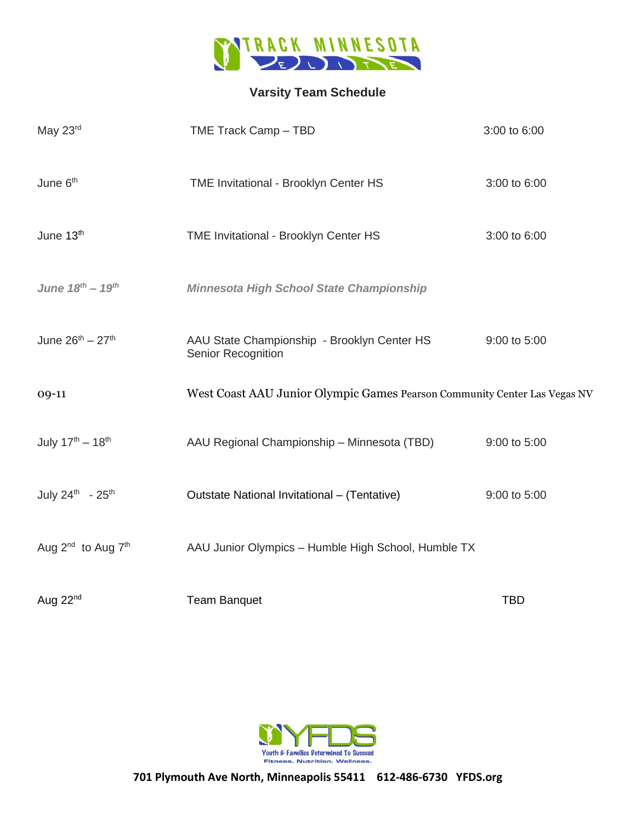

## **Varsity Team Schedule**

| May 23rd                     | TME Track Camp - TBD                                                      | 3:00 to 6:00 |
|------------------------------|---------------------------------------------------------------------------|--------------|
| June 6 <sup>th</sup>         | TME Invitational - Brooklyn Center HS                                     | 3:00 to 6:00 |
| June 13th                    | TME Invitational - Brooklyn Center HS                                     | 3:00 to 6:00 |
| June $18^{th} - 19^{th}$     | <b>Minnesota High School State Championship</b>                           |              |
| June $26^{th} - 27^{th}$     | AAU State Championship - Brooklyn Center HS<br>Senior Recognition         | 9:00 to 5:00 |
| 09-11                        | West Coast AAU Junior Olympic Games Pearson Community Center Las Vegas NV |              |
| July $17^{th} - 18^{th}$     | AAU Regional Championship - Minnesota (TBD)                               | 9:00 to 5:00 |
| July 24th - 25th             | Outstate National Invitational - (Tentative)                              | 9:00 to 5:00 |
| Aug $2^{nd}$ to Aug $7^{th}$ | AAU Junior Olympics - Humble High School, Humble TX                       |              |
| Aug 22nd                     | <b>Team Banquet</b>                                                       | <b>TBD</b>   |



**701 Plymouth Ave North, Minneapolis 55411 612-486-6730 YFDS.org**